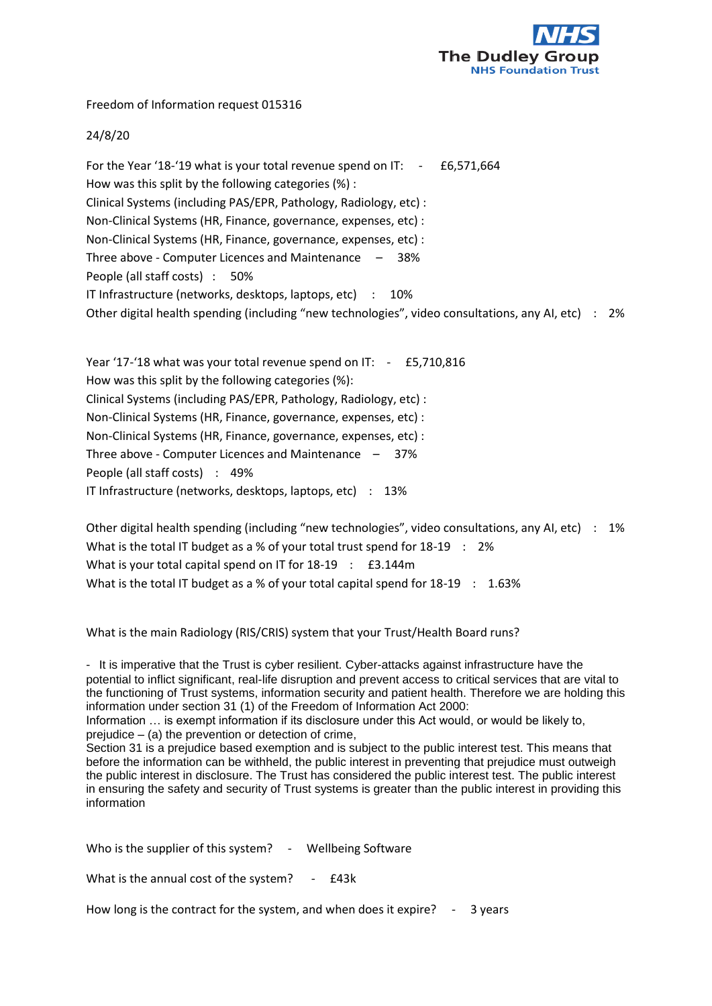

Freedom of Information request 015316

## 24/8/20

For the Year '18-'19 what is your total revenue spend on  $IT: -E6,571,664$ How was this split by the following categories (%) : Clinical Systems (including PAS/EPR, Pathology, Radiology, etc) : Non-Clinical Systems (HR, Finance, governance, expenses, etc) : Non-Clinical Systems (HR, Finance, governance, expenses, etc) : Three above - Computer Licences and Maintenance – 38% People (all staff costs) : 50% IT Infrastructure (networks, desktops, laptops, etc) : 10% Other digital health spending (including "new technologies", video consultations, any AI, etc) : 2%

Year '17-'18 what was your total revenue spend on IT: - £5,710,816 How was this split by the following categories (%): Clinical Systems (including PAS/EPR, Pathology, Radiology, etc) : Non-Clinical Systems (HR, Finance, governance, expenses, etc) : Non-Clinical Systems (HR, Finance, governance, expenses, etc) : Three above - Computer Licences and Maintenance – 37% People (all staff costs) : 49% IT Infrastructure (networks, desktops, laptops, etc) : 13%

Other digital health spending (including "new technologies", video consultations, any AI, etc) : 1% What is the total IT budget as a % of your total trust spend for 18-19 : 2% What is your total capital spend on IT for 18-19 : £3.144m What is the total IT budget as a % of your total capital spend for  $18-19$  : 1.63%

What is the main Radiology (RIS/CRIS) system that your Trust/Health Board runs?

- It is imperative that the Trust is cyber resilient. Cyber-attacks against infrastructure have the potential to inflict significant, real-life disruption and prevent access to critical services that are vital to the functioning of Trust systems, information security and patient health. Therefore we are holding this information under section 31 (1) of the Freedom of Information Act 2000:

Information … is exempt information if its disclosure under this Act would, or would be likely to, prejudice  $-$  (a) the prevention or detection of crime,

Section 31 is a prejudice based exemption and is subject to the public interest test. This means that before the information can be withheld, the public interest in preventing that prejudice must outweigh the public interest in disclosure. The Trust has considered the public interest test. The public interest in ensuring the safety and security of Trust systems is greater than the public interest in providing this information

Who is the supplier of this system? - Wellbeing Software

What is the annual cost of the system? - £43k

How long is the contract for the system, and when does it expire? - 3 years